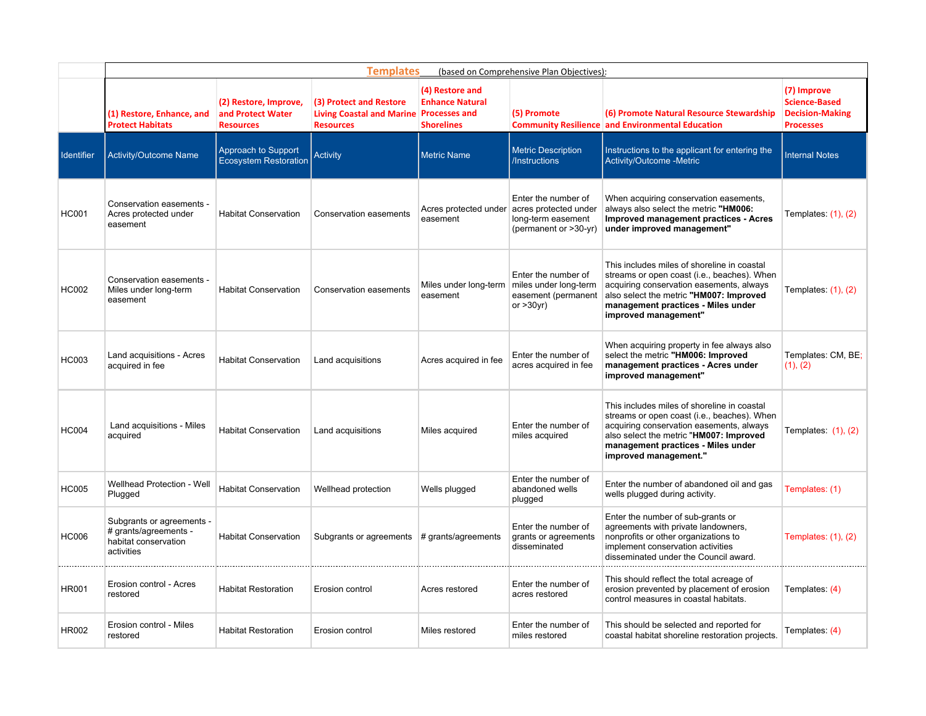|                   | <b>Templates</b><br>(based on Comprehensive Plan Objectives):                            |                                                                |                                                                                 |                                                                                        |                                                                                                                   |                                                                                                                                                                                                                                                  |                                                                                   |  |  |  |
|-------------------|------------------------------------------------------------------------------------------|----------------------------------------------------------------|---------------------------------------------------------------------------------|----------------------------------------------------------------------------------------|-------------------------------------------------------------------------------------------------------------------|--------------------------------------------------------------------------------------------------------------------------------------------------------------------------------------------------------------------------------------------------|-----------------------------------------------------------------------------------|--|--|--|
|                   | (1) Restore, Enhance, and<br><b>Protect Habitats</b>                                     | (2) Restore, Improve,<br>and Protect Water<br><b>Resources</b> | (3) Protect and Restore<br><b>Living Coastal and Marine</b><br><b>Resources</b> | (4) Restore and<br><b>Enhance Natural</b><br><b>Processes and</b><br><b>Shorelines</b> | (5) Promote                                                                                                       | (6) Promote Natural Resource Stewardship<br><b>Community Resilience and Environmental Education</b>                                                                                                                                              | (7) Improve<br><b>Science-Based</b><br><b>Decision-Making</b><br><b>Processes</b> |  |  |  |
| <b>Identifier</b> | Activity/Outcome Name                                                                    | Approach to Support<br><b>Ecosystem Restoration</b>            | <b>Activity</b>                                                                 | <b>Metric Name</b>                                                                     | <b>Metric Description</b><br>/Instructions                                                                        | Instructions to the applicant for entering the<br>Activity/Outcome -Metric                                                                                                                                                                       | <b>Internal Notes</b>                                                             |  |  |  |
| <b>HC001</b>      | Conservation easements -<br>Acres protected under<br>easement                            | <b>Habitat Conservation</b>                                    | <b>Conservation easements</b>                                                   | easement                                                                               | Enter the number of<br>Acres protected under acres protected under<br>long-term easement<br>(permanent or >30-yr) | When acquiring conservation easements,<br>always also select the metric "HM006:<br>Improved management practices - Acres<br>under improved management"                                                                                           | Templates: $(1)$ , $(2)$                                                          |  |  |  |
| <b>HC002</b>      | Conservation easements -<br>Miles under long-term<br>easement                            | <b>Habitat Conservation</b>                                    | Conservation easements                                                          | easement                                                                               | Enter the number of<br>Miles under long-term miles under long-term<br>easement (permanent<br>or $>30$ yr)         | This includes miles of shoreline in coastal<br>streams or open coast (i.e., beaches). When<br>acquiring conservation easements, always<br>also select the metric "HM007: Improved<br>management practices - Miles under<br>improved management"  | Templates: $(1)$ , $(2)$                                                          |  |  |  |
| <b>HC003</b>      | Land acquisitions - Acres<br>acquired in fee                                             | <b>Habitat Conservation</b>                                    | Land acquisitions                                                               | Acres acquired in fee                                                                  | Enter the number of<br>acres acquired in fee                                                                      | When acquiring property in fee always also<br>select the metric "HM006: Improved<br>management practices - Acres under<br>improved management"                                                                                                   | Templates: CM, BE;<br>(1), (2)                                                    |  |  |  |
| <b>HC004</b>      | Land acquisitions - Miles<br>acquired                                                    | <b>Habitat Conservation</b>                                    | Land acquisitions                                                               | Miles acquired                                                                         | Enter the number of<br>miles acquired                                                                             | This includes miles of shoreline in coastal<br>streams or open coast (i.e., beaches). When<br>acquiring conservation easements, always<br>also select the metric "HM007: Improved<br>management practices - Miles under<br>improved management." | Templates: $(1)$ , $(2)$                                                          |  |  |  |
| <b>HC005</b>      | Wellhead Protection - Well<br>Plugged                                                    | <b>Habitat Conservation</b>                                    | Wellhead protection                                                             | Wells plugged                                                                          | Enter the number of<br>abandoned wells<br>plugged                                                                 | Enter the number of abandoned oil and gas<br>wells plugged during activity.                                                                                                                                                                      | Templates: (1)                                                                    |  |  |  |
| <b>HC006</b>      | Subgrants or agreements -<br># grants/agreements -<br>habitat conservation<br>activities | <b>Habitat Conservation</b>                                    | Subgrants or agreements $#$ grants/agreements                                   |                                                                                        | Enter the number of<br>grants or agreements<br>disseminated                                                       | Enter the number of sub-grants or<br>agreements with private landowners,<br>nonprofits or other organizations to<br>implement conservation activities<br>disseminated under the Council award.                                                   | Templates: (1), (2)                                                               |  |  |  |
| <b>HR001</b>      | Erosion control - Acres<br>restored                                                      | <b>Habitat Restoration</b>                                     | Erosion control                                                                 | Acres restored                                                                         | Enter the number of<br>acres restored                                                                             | This should reflect the total acreage of<br>erosion prevented by placement of erosion<br>control measures in coastal habitats.                                                                                                                   | Templates: (4)                                                                    |  |  |  |
| <b>HR002</b>      | Erosion control - Miles<br>restored                                                      | <b>Habitat Restoration</b>                                     | Erosion control                                                                 | Miles restored                                                                         | Enter the number of<br>miles restored                                                                             | This should be selected and reported for<br>coastal habitat shoreline restoration projects.                                                                                                                                                      | Templates: (4)                                                                    |  |  |  |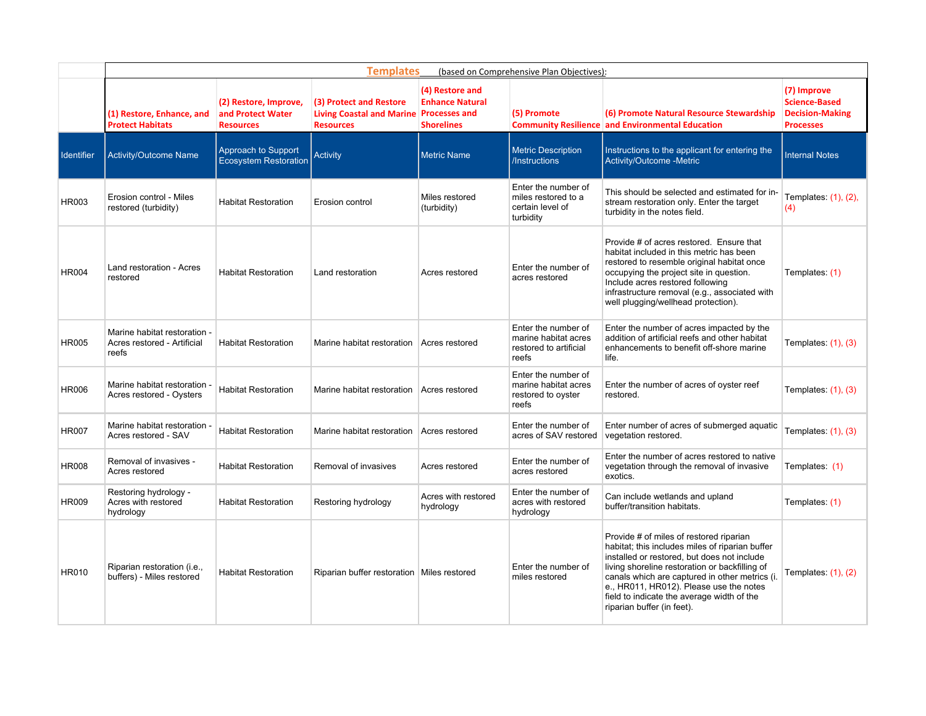|              | <b>Templates</b><br>(based on Comprehensive Plan Objectives):        |                                                                |                                                                                        |                                                                |                                                                                |                                                                                                                                                                                                                                                                                                                                                                      |                                                                                   |  |  |
|--------------|----------------------------------------------------------------------|----------------------------------------------------------------|----------------------------------------------------------------------------------------|----------------------------------------------------------------|--------------------------------------------------------------------------------|----------------------------------------------------------------------------------------------------------------------------------------------------------------------------------------------------------------------------------------------------------------------------------------------------------------------------------------------------------------------|-----------------------------------------------------------------------------------|--|--|
|              | (1) Restore, Enhance, and<br><b>Protect Habitats</b>                 | (2) Restore, Improve,<br>and Protect Water<br><b>Resources</b> | (3) Protect and Restore<br>Living Coastal and Marine Processes and<br><b>Resources</b> | (4) Restore and<br><b>Enhance Natural</b><br><b>Shorelines</b> | (5) Promote                                                                    | (6) Promote Natural Resource Stewardship<br><b>Community Resilience and Environmental Education</b>                                                                                                                                                                                                                                                                  | (7) Improve<br><b>Science-Based</b><br><b>Decision-Making</b><br><b>Processes</b> |  |  |
| Identifier   | <b>Activity/Outcome Name</b>                                         | Approach to Support<br><b>Ecosystem Restoration</b>            | Activity                                                                               | <b>Metric Name</b>                                             | <b>Metric Description</b><br>/Instructions                                     | Instructions to the applicant for entering the<br>Activity/Outcome -Metric                                                                                                                                                                                                                                                                                           | <b>Internal Notes</b>                                                             |  |  |
| <b>HR003</b> | Erosion control - Miles<br>restored (turbidity)                      | <b>Habitat Restoration</b>                                     | Erosion control                                                                        | Miles restored<br>(turbidity)                                  | Enter the number of<br>miles restored to a<br>certain level of<br>turbidity    | This should be selected and estimated for in-<br>stream restoration only. Enter the target<br>turbidity in the notes field.                                                                                                                                                                                                                                          | Templates: (1), (2),<br>(4)                                                       |  |  |
| <b>HR004</b> | Land restoration - Acres<br>restored                                 | <b>Habitat Restoration</b>                                     | Land restoration                                                                       | Acres restored                                                 | Enter the number of<br>acres restored                                          | Provide # of acres restored. Ensure that<br>habitat included in this metric has been<br>restored to resemble original habitat once<br>occupying the project site in question.<br>Include acres restored following<br>infrastructure removal (e.g., associated with<br>well plugging/wellhead protection).                                                            | Templates: (1)                                                                    |  |  |
| <b>HR005</b> | Marine habitat restoration -<br>Acres restored - Artificial<br>reefs | <b>Habitat Restoration</b>                                     | Marine habitat restoration   Acres restored                                            |                                                                | Enter the number of<br>marine habitat acres<br>restored to artificial<br>reefs | Enter the number of acres impacted by the<br>addition of artificial reefs and other habitat<br>enhancements to benefit off-shore marine<br>life.                                                                                                                                                                                                                     | Templates: $(1)$ , $(3)$                                                          |  |  |
| <b>HR006</b> | Marine habitat restoration<br>Acres restored - Oysters               | <b>Habitat Restoration</b>                                     | Marine habitat restoration   Acres restored                                            |                                                                | Enter the number of<br>marine habitat acres<br>restored to oyster<br>reefs     | Enter the number of acres of oyster reef<br>restored.                                                                                                                                                                                                                                                                                                                | Templates: (1), (3)                                                               |  |  |
| <b>HR007</b> | Marine habitat restoration -<br>Acres restored - SAV                 | <b>Habitat Restoration</b>                                     | Marine habitat restoration                                                             | Acres restored                                                 | Enter the number of<br>acres of SAV restored                                   | Enter number of acres of submerged aquatic<br>vegetation restored.                                                                                                                                                                                                                                                                                                   | Templates: $(1)$ , $(3)$                                                          |  |  |
| <b>HR008</b> | Removal of invasives -<br>Acres restored                             | <b>Habitat Restoration</b>                                     | Removal of invasives                                                                   | Acres restored                                                 | Enter the number of<br>acres restored                                          | Enter the number of acres restored to native<br>vegetation through the removal of invasive<br>exotics.                                                                                                                                                                                                                                                               | Templates: (1)                                                                    |  |  |
| <b>HR009</b> | Restoring hydrology -<br>Acres with restored<br>hydrology            | <b>Habitat Restoration</b>                                     | Restoring hydrology                                                                    | Acres with restored<br>hydrology                               | Enter the number of<br>acres with restored<br>hydrology                        | Can include wetlands and upland<br>buffer/transition habitats.                                                                                                                                                                                                                                                                                                       | Templates: (1)                                                                    |  |  |
| HR010        | Riparian restoration (i.e.,<br>buffers) - Miles restored             | <b>Habitat Restoration</b>                                     | Riparian buffer restoration   Miles restored                                           |                                                                | Enter the number of<br>miles restored                                          | Provide # of miles of restored riparian<br>habitat; this includes miles of riparian buffer<br>installed or restored, but does not include<br>living shoreline restoration or backfilling of<br>canals which are captured in other metrics (i.<br>e., HR011, HR012). Please use the notes<br>field to indicate the average width of the<br>riparian buffer (in feet). | Templates: (1), (2)                                                               |  |  |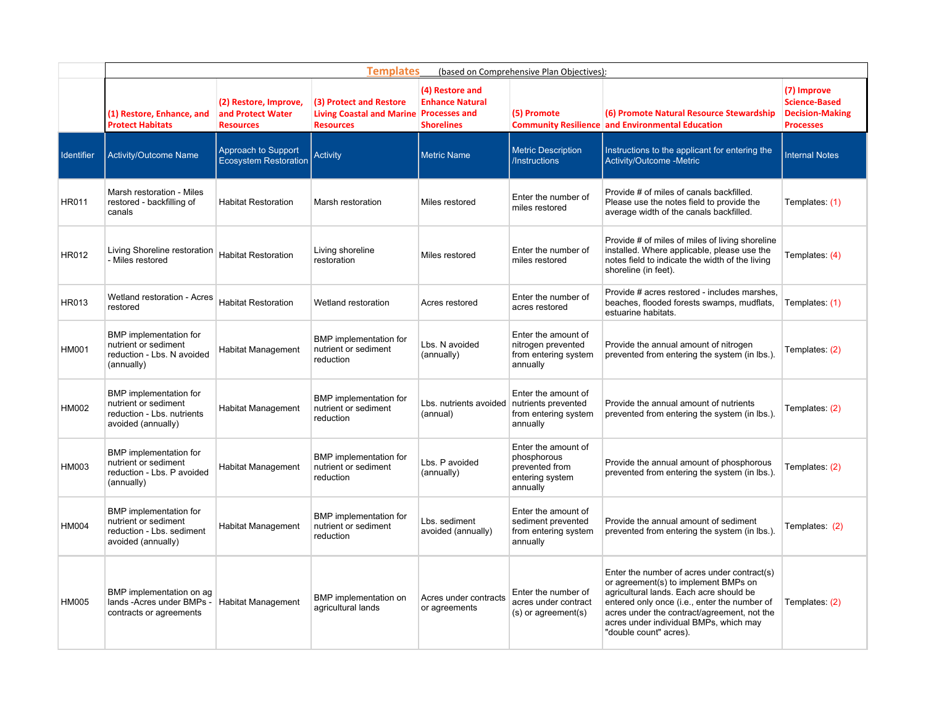|                   |                                                                                                    | <b>Templates</b><br>(based on Comprehensive Plan Objectives):  |                                                                                 |                                                                                        |                                                                                     |                                                                                                                                                                                                                                                                                                   |                                                                                   |  |  |  |  |  |
|-------------------|----------------------------------------------------------------------------------------------------|----------------------------------------------------------------|---------------------------------------------------------------------------------|----------------------------------------------------------------------------------------|-------------------------------------------------------------------------------------|---------------------------------------------------------------------------------------------------------------------------------------------------------------------------------------------------------------------------------------------------------------------------------------------------|-----------------------------------------------------------------------------------|--|--|--|--|--|
|                   | (1) Restore, Enhance, and<br><b>Protect Habitats</b>                                               | (2) Restore, Improve,<br>and Protect Water<br><b>Resources</b> | (3) Protect and Restore<br><b>Living Coastal and Marine</b><br><b>Resources</b> | (4) Restore and<br><b>Enhance Natural</b><br><b>Processes and</b><br><b>Shorelines</b> | (5) Promote                                                                         | (6) Promote Natural Resource Stewardship<br><b>Community Resilience and Environmental Education</b>                                                                                                                                                                                               | (7) Improve<br><b>Science-Based</b><br><b>Decision-Making</b><br><b>Processes</b> |  |  |  |  |  |
| <b>Identifier</b> | <b>Activity/Outcome Name</b>                                                                       | Approach to Support<br><b>Ecosystem Restoration</b>            | <b>Activity</b>                                                                 | <b>Metric Name</b>                                                                     | <b>Metric Description</b><br>/Instructions                                          | Instructions to the applicant for entering the<br>Activity/Outcome -Metric                                                                                                                                                                                                                        | <b>Internal Notes</b>                                                             |  |  |  |  |  |
| <b>HR011</b>      | Marsh restoration - Miles<br>restored - backfilling of<br>canals                                   | <b>Habitat Restoration</b>                                     | Marsh restoration                                                               | Miles restored                                                                         | Enter the number of<br>miles restored                                               | Provide # of miles of canals backfilled.<br>Please use the notes field to provide the<br>average width of the canals backfilled.                                                                                                                                                                  | Templates: (1)                                                                    |  |  |  |  |  |
| HR012             | Living Shoreline restoration<br>- Miles restored                                                   | <b>Habitat Restoration</b>                                     | Living shoreline<br>restoration                                                 | Miles restored                                                                         | Enter the number of<br>miles restored                                               | Provide # of miles of miles of living shoreline<br>installed. Where applicable, please use the<br>notes field to indicate the width of the living<br>shoreline (in feet).                                                                                                                         | Templates: (4)                                                                    |  |  |  |  |  |
| <b>HR013</b>      | Wetland restoration - Acres<br>restored                                                            | <b>Habitat Restoration</b>                                     | Wetland restoration                                                             | Acres restored                                                                         | Enter the number of<br>acres restored                                               | Provide # acres restored - includes marshes,<br>beaches, flooded forests swamps, mudflats,<br>estuarine habitats.                                                                                                                                                                                 | Templates: (1)                                                                    |  |  |  |  |  |
| <b>HM001</b>      | BMP implementation for<br>nutrient or sediment<br>reduction - Lbs. N avoided<br>(annually)         | Habitat Management                                             | BMP implementation for<br>nutrient or sediment<br>reduction                     | Lbs. N avoided<br>(annually)                                                           | Enter the amount of<br>nitrogen prevented<br>from entering system<br>annually       | Provide the annual amount of nitrogen<br>prevented from entering the system (in lbs.).                                                                                                                                                                                                            | Templates: (2)                                                                    |  |  |  |  |  |
| <b>HM002</b>      | BMP implementation for<br>nutrient or sediment<br>reduction - Lbs. nutrients<br>avoided (annually) | Habitat Management                                             | BMP implementation for<br>nutrient or sediment<br>reduction                     | Lbs. nutrients avoided nutrients prevented<br>(annual)                                 | Enter the amount of<br>from entering system<br>annually                             | Provide the annual amount of nutrients<br>prevented from entering the system (in lbs.).                                                                                                                                                                                                           | Templates: (2)                                                                    |  |  |  |  |  |
| HM003             | BMP implementation for<br>nutrient or sediment<br>reduction - Lbs. P avoided<br>(annually)         | Habitat Management                                             | BMP implementation for<br>nutrient or sediment<br>reduction                     | Lbs. P avoided<br>(annually)                                                           | Enter the amount of<br>phosphorous<br>prevented from<br>entering system<br>annually | Provide the annual amount of phosphorous<br>prevented from entering the system (in lbs.).                                                                                                                                                                                                         | Templates: (2)                                                                    |  |  |  |  |  |
| <b>HM004</b>      | BMP implementation for<br>nutrient or sediment<br>reduction - Lbs. sediment<br>avoided (annually)  | <b>Habitat Management</b>                                      | BMP implementation for<br>nutrient or sediment<br>reduction                     | Lbs. sediment<br>avoided (annually)                                                    | Enter the amount of<br>sediment prevented<br>from entering system<br>annually       | Provide the annual amount of sediment<br>prevented from entering the system (in lbs.).                                                                                                                                                                                                            | Templates: (2)                                                                    |  |  |  |  |  |
| <b>HM005</b>      | BMP implementation on ag<br>lands - Acres under BMPs -<br>contracts or agreements                  | <b>Habitat Management</b>                                      | BMP implementation on<br>agricultural lands                                     | Acres under contracts<br>or agreements                                                 | Enter the number of<br>acres under contract<br>(s) or agreement(s)                  | Enter the number of acres under contract(s)<br>or agreement(s) to implement BMPs on<br>agricultural lands. Each acre should be<br>entered only once (i.e., enter the number of<br>acres under the contract/agreement, not the<br>acres under individual BMPs, which may<br>"double count" acres). | Templates: (2)                                                                    |  |  |  |  |  |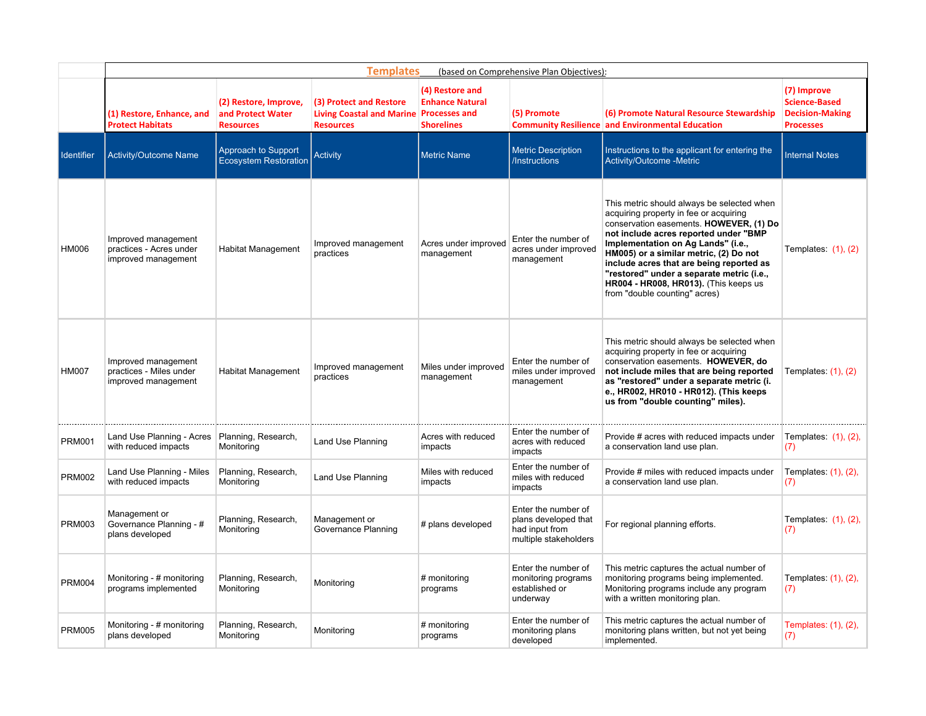|                   | <b>Templates</b><br>(based on Comprehensive Plan Objectives):         |                                                                |                                                                                 |                                                                                        |                                                                                        |                                                                                                                                                                                                                                                                                                                                                                                                                             |                                                                                   |  |  |  |
|-------------------|-----------------------------------------------------------------------|----------------------------------------------------------------|---------------------------------------------------------------------------------|----------------------------------------------------------------------------------------|----------------------------------------------------------------------------------------|-----------------------------------------------------------------------------------------------------------------------------------------------------------------------------------------------------------------------------------------------------------------------------------------------------------------------------------------------------------------------------------------------------------------------------|-----------------------------------------------------------------------------------|--|--|--|
|                   | (1) Restore, Enhance, and<br><b>Protect Habitats</b>                  | (2) Restore, Improve,<br>and Protect Water<br><b>Resources</b> | (3) Protect and Restore<br><b>Living Coastal and Marine</b><br><b>Resources</b> | (4) Restore and<br><b>Enhance Natural</b><br><b>Processes and</b><br><b>Shorelines</b> | (5) Promote                                                                            | (6) Promote Natural Resource Stewardship<br><b>Community Resilience and Environmental Education</b>                                                                                                                                                                                                                                                                                                                         | (7) Improve<br><b>Science-Based</b><br><b>Decision-Making</b><br><b>Processes</b> |  |  |  |
| <b>Identifier</b> | <b>Activity/Outcome Name</b>                                          | Approach to Support<br><b>Ecosystem Restoration</b>            | <b>Activity</b>                                                                 | <b>Metric Name</b>                                                                     | <b>Metric Description</b><br>/Instructions                                             | Instructions to the applicant for entering the<br>Activity/Outcome -Metric                                                                                                                                                                                                                                                                                                                                                  | <b>Internal Notes</b>                                                             |  |  |  |
| HM006             | Improved management<br>practices - Acres under<br>improved management | <b>Habitat Management</b>                                      | Improved management<br>practices                                                | Acres under improved<br>management                                                     | Enter the number of<br>acres under improved<br>management                              | This metric should always be selected when<br>acquiring property in fee or acquiring<br>conservation easements. HOWEVER, (1) Do<br>not include acres reported under "BMP<br>Implementation on Ag Lands" (i.e.,<br>HM005) or a similar metric, (2) Do not<br>include acres that are being reported as<br>"restored" under a separate metric (i.e.,<br>HR004 - HR008, HR013). (This keeps us<br>from "double counting" acres) | Templates: $(1)$ , $(2)$                                                          |  |  |  |
| <b>HM007</b>      | Improved management<br>practices - Miles under<br>improved management | <b>Habitat Management</b>                                      | Improved management<br>practices                                                | Miles under improved<br>management                                                     | Enter the number of<br>miles under improved<br>management                              | This metric should always be selected when<br>acquiring property in fee or acquiring<br>conservation easements. HOWEVER, do<br>not include miles that are being reported<br>as "restored" under a separate metric (i.<br>e., HR002, HR010 - HR012). (This keeps<br>us from "double counting" miles).                                                                                                                        | Templates: (1), (2)                                                               |  |  |  |
| <b>PRM001</b>     | Land Use Planning - Acres<br>with reduced impacts                     | Planning, Research,<br>Monitoring                              | Land Use Planning                                                               | Acres with reduced<br>impacts                                                          | Enter the number of<br>acres with reduced<br>impacts                                   | Provide # acres with reduced impacts under<br>a conservation land use plan.                                                                                                                                                                                                                                                                                                                                                 | Templates: (1), (2),<br>(7)                                                       |  |  |  |
| <b>PRM002</b>     | Land Use Planning - Miles<br>with reduced impacts                     | Planning, Research,<br>Monitoring                              | Land Use Planning                                                               | Miles with reduced<br>impacts                                                          | Enter the number of<br>miles with reduced<br>impacts                                   | Provide # miles with reduced impacts under<br>a conservation land use plan.                                                                                                                                                                                                                                                                                                                                                 | Templates: (1), (2),<br>(7)                                                       |  |  |  |
| <b>PRM003</b>     | Management or<br>Governance Planning - #<br>plans developed           | Planning, Research,<br>Monitoring                              | Management or<br>Governance Planning                                            | # plans developed                                                                      | Enter the number of<br>plans developed that<br>had input from<br>multiple stakeholders | For regional planning efforts.                                                                                                                                                                                                                                                                                                                                                                                              | Templates: (1), (2),<br>(7)                                                       |  |  |  |
| <b>PRM004</b>     | Monitoring - # monitoring<br>programs implemented                     | Planning, Research,<br>Monitoring                              | Monitoring                                                                      | # monitoring<br>programs                                                               | Enter the number of<br>monitoring programs<br>established or<br>underway               | This metric captures the actual number of<br>monitoring programs being implemented.<br>Monitoring programs include any program<br>with a written monitoring plan.                                                                                                                                                                                                                                                           | Templates: (1), (2),<br>(7)                                                       |  |  |  |
| <b>PRM005</b>     | Monitoring - # monitoring<br>plans developed                          | Planning, Research,<br>Monitoring                              | Monitoring                                                                      | # monitoring<br>programs                                                               | Enter the number of<br>monitoring plans<br>developed                                   | This metric captures the actual number of<br>monitoring plans written, but not yet being<br>implemented.                                                                                                                                                                                                                                                                                                                    | Templates: (1), (2),<br>(7)                                                       |  |  |  |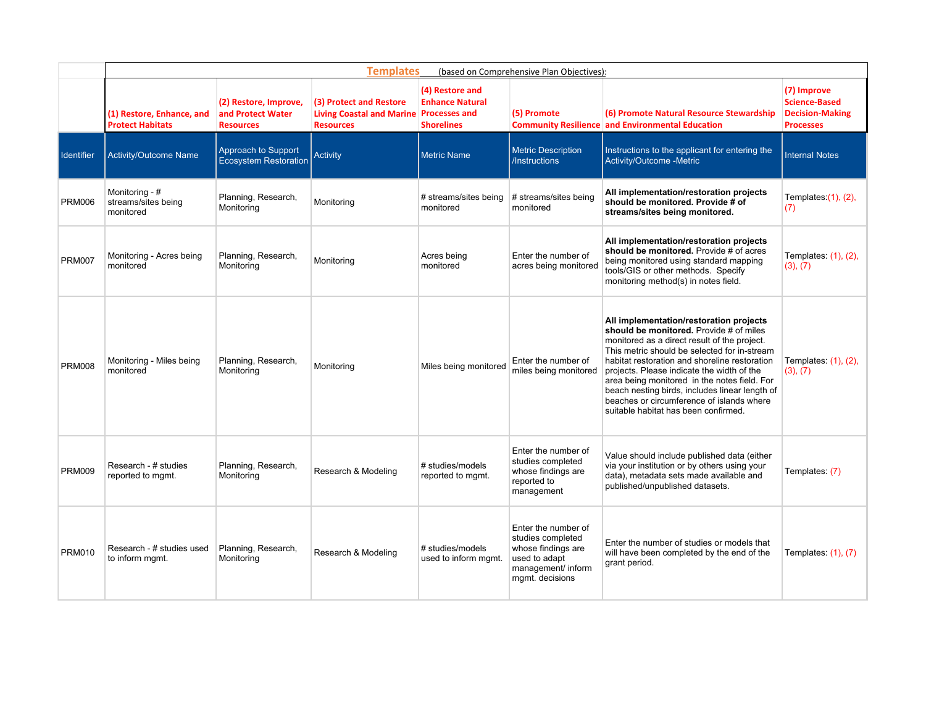|               | <b>Templates</b><br>(based on Comprehensive Plan Objectives): |                                                                |                                                                                 |                                                                                        |                                                                                                                          |                                                                                                                                                                                                                                                                                                                                                                                                                                                                          |                                                                                   |  |  |  |
|---------------|---------------------------------------------------------------|----------------------------------------------------------------|---------------------------------------------------------------------------------|----------------------------------------------------------------------------------------|--------------------------------------------------------------------------------------------------------------------------|--------------------------------------------------------------------------------------------------------------------------------------------------------------------------------------------------------------------------------------------------------------------------------------------------------------------------------------------------------------------------------------------------------------------------------------------------------------------------|-----------------------------------------------------------------------------------|--|--|--|
|               | (1) Restore, Enhance, and<br><b>Protect Habitats</b>          | (2) Restore, Improve,<br>and Protect Water<br><b>Resources</b> | (3) Protect and Restore<br><b>Living Coastal and Marine</b><br><b>Resources</b> | (4) Restore and<br><b>Enhance Natural</b><br><b>Processes and</b><br><b>Shorelines</b> | (5) Promote                                                                                                              | (6) Promote Natural Resource Stewardship<br><b>Community Resilience and Environmental Education</b>                                                                                                                                                                                                                                                                                                                                                                      | (7) Improve<br><b>Science-Based</b><br><b>Decision-Making</b><br><b>Processes</b> |  |  |  |
| Identifier    | Activity/Outcome Name                                         | Approach to Support<br>Ecosystem Restoration                   | <b>Activity</b>                                                                 | <b>Metric Name</b>                                                                     | <b>Metric Description</b><br>/Instructions                                                                               | Instructions to the applicant for entering the<br>Activity/Outcome -Metric                                                                                                                                                                                                                                                                                                                                                                                               | <b>Internal Notes</b>                                                             |  |  |  |
| <b>PRM006</b> | Monitoring - #<br>streams/sites being<br>monitored            | Planning, Research,<br>Monitoring                              | Monitoring                                                                      | # streams/sites being<br>monitored                                                     | # streams/sites being<br>monitored                                                                                       | All implementation/restoration projects<br>should be monitored. Provide # of<br>streams/sites being monitored.                                                                                                                                                                                                                                                                                                                                                           | Templates: $(1)$ , $(2)$ ,<br>(7)                                                 |  |  |  |
| <b>PRM007</b> | Monitoring - Acres being<br>monitored                         | Planning, Research,<br>Monitoring                              | Monitoring                                                                      | Acres being<br>monitored                                                               | Enter the number of<br>acres being monitored                                                                             | All implementation/restoration projects<br>should be monitored. Provide # of acres<br>being monitored using standard mapping<br>tools/GIS or other methods. Specify<br>monitoring method(s) in notes field.                                                                                                                                                                                                                                                              | Templates: (1), (2),<br>(3), (7)                                                  |  |  |  |
| <b>PRM008</b> | Monitoring - Miles being<br>monitored                         | Planning, Research,<br>Monitoring                              | Monitoring                                                                      | Miles being monitored                                                                  | Enter the number of<br>miles being monitored                                                                             | All implementation/restoration projects<br>should be monitored. Provide # of miles<br>monitored as a direct result of the project.<br>This metric should be selected for in-stream<br>habitat restoration and shoreline restoration<br>projects. Please indicate the width of the<br>area being monitored in the notes field. For<br>beach nesting birds, includes linear length of<br>beaches or circumference of islands where<br>suitable habitat has been confirmed. | Templates: (1), (2),<br>(3), (7)                                                  |  |  |  |
| <b>PRM009</b> | Research - # studies<br>reported to mgmt.                     | Planning, Research,<br>Monitoring                              | Research & Modeling                                                             | # studies/models<br>reported to mgmt.                                                  | Enter the number of<br>studies completed<br>whose findings are<br>reported to<br>management                              | Value should include published data (either<br>via your institution or by others using your<br>data), metadata sets made available and<br>published/unpublished datasets.                                                                                                                                                                                                                                                                                                | Templates: (7)                                                                    |  |  |  |
| <b>PRM010</b> | Research - # studies used<br>to inform mgmt.                  | Planning, Research,<br>Monitoring                              | Research & Modeling                                                             | # studies/models<br>used to inform mgmt.                                               | Enter the number of<br>studies completed<br>whose findings are<br>used to adapt<br>management/ inform<br>mgmt. decisions | Enter the number of studies or models that<br>will have been completed by the end of the<br>grant period.                                                                                                                                                                                                                                                                                                                                                                | Templates: (1), (7)                                                               |  |  |  |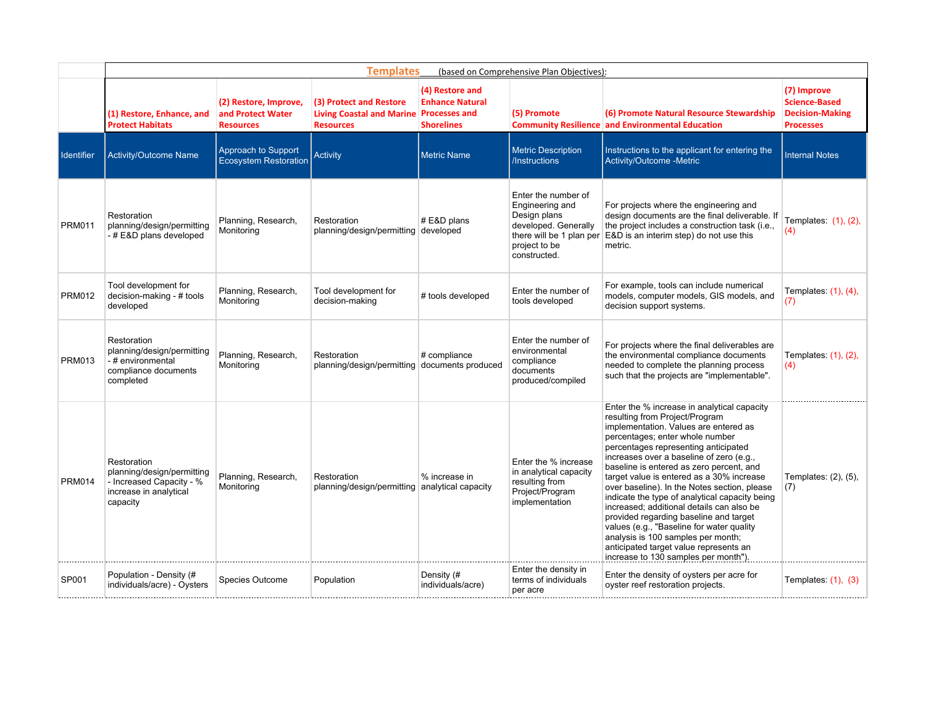|                   | <b>Templates</b><br>(based on Comprehensive Plan Objectives):                                               |                                                                |                                                                                 |                                                                                        |                                                                                                                                             |                                                                                                                                                                                                                                                                                                                                                                                                                                                                                                                                                                                                                                                                                                      |                                                                                   |  |  |  |
|-------------------|-------------------------------------------------------------------------------------------------------------|----------------------------------------------------------------|---------------------------------------------------------------------------------|----------------------------------------------------------------------------------------|---------------------------------------------------------------------------------------------------------------------------------------------|------------------------------------------------------------------------------------------------------------------------------------------------------------------------------------------------------------------------------------------------------------------------------------------------------------------------------------------------------------------------------------------------------------------------------------------------------------------------------------------------------------------------------------------------------------------------------------------------------------------------------------------------------------------------------------------------------|-----------------------------------------------------------------------------------|--|--|--|
|                   | (1) Restore, Enhance, and<br><b>Protect Habitats</b>                                                        | (2) Restore, Improve,<br>and Protect Water<br><b>Resources</b> | (3) Protect and Restore<br><b>Living Coastal and Marine</b><br><b>Resources</b> | (4) Restore and<br><b>Enhance Natural</b><br><b>Processes and</b><br><b>Shorelines</b> | (5) Promote                                                                                                                                 | (6) Promote Natural Resource Stewardship<br><b>Community Resilience and Environmental Education</b>                                                                                                                                                                                                                                                                                                                                                                                                                                                                                                                                                                                                  | (7) Improve<br><b>Science-Based</b><br><b>Decision-Making</b><br><b>Processes</b> |  |  |  |
| <b>Identifier</b> | Activity/Outcome Name                                                                                       | Approach to Support<br><b>Ecosystem Restoration</b>            | <b>Activity</b>                                                                 | <b>Metric Name</b>                                                                     | <b>Metric Description</b><br>/Instructions                                                                                                  | Instructions to the applicant for entering the<br>Activity/Outcome -Metric                                                                                                                                                                                                                                                                                                                                                                                                                                                                                                                                                                                                                           | <b>Internal Notes</b>                                                             |  |  |  |
| <b>PRM011</b>     | Restoration<br>planning/design/permitting<br>-#E&D plans developed                                          | Planning, Research,<br>Monitoring                              | Restoration<br>planning/design/permitting developed                             | # E&D plans                                                                            | Enter the number of<br>Engineering and<br>Design plans<br>developed. Generally<br>there will be 1 plan per<br>project to be<br>constructed. | For projects where the engineering and<br>design documents are the final deliverable. If<br>the project includes a construction task (i.e.,<br>E&D is an interim step) do not use this<br>metric.                                                                                                                                                                                                                                                                                                                                                                                                                                                                                                    | Templates: (1), (2),<br>(4)                                                       |  |  |  |
| <b>PRM012</b>     | Tool development for<br>decision-making - # tools<br>developed                                              | Planning, Research,<br>Monitoring                              | Tool development for<br>decision-making                                         | # tools developed                                                                      | Enter the number of<br>tools developed                                                                                                      | For example, tools can include numerical<br>models, computer models, GIS models, and<br>decision support systems.                                                                                                                                                                                                                                                                                                                                                                                                                                                                                                                                                                                    | Templates: (1), (4),<br>(7)                                                       |  |  |  |
| <b>PRM013</b>     | Restoration<br>planning/design/permitting<br>- # environmental<br>compliance documents<br>completed         | Planning, Research,<br>Monitoring                              | Restoration<br>planning/design/permitting documents produced                    | # compliance                                                                           | Enter the number of<br>environmental<br>compliance<br>documents<br>produced/compiled                                                        | For projects where the final deliverables are<br>the environmental compliance documents<br>needed to complete the planning process<br>such that the projects are "implementable".                                                                                                                                                                                                                                                                                                                                                                                                                                                                                                                    | Templates: (1), (2),<br>(4)                                                       |  |  |  |
| <b>PRM014</b>     | Restoration<br>planning/design/permitting<br>- Increased Capacity - %<br>increase in analytical<br>capacity | Planning, Research,<br>Monitoring                              | Restoration<br>planning/design/permitting                                       | % increase in<br>analytical capacity                                                   | Enter the % increase<br>in analytical capacity<br>resulting from<br>Project/Program<br>implementation                                       | Enter the % increase in analytical capacity<br>resulting from Project/Program<br>implementation. Values are entered as<br>percentages; enter whole number<br>percentages representing anticipated<br>increases over a baseline of zero (e.g.,<br>baseline is entered as zero percent, and<br>target value is entered as a 30% increase<br>over baseline). In the Notes section, please<br>indicate the type of analytical capacity being<br>increased: additional details can also be<br>provided regarding baseline and target<br>values (e.g., "Baseline for water quality<br>analysis is 100 samples per month;<br>anticipated target value represents an<br>increase to 130 samples per month"). | Templates: (2), (5),<br>(7)                                                       |  |  |  |
| SP001             | Population - Density (#<br>individuals/acre) - Oysters                                                      | Species Outcome                                                | Population                                                                      | Density (#<br>individuals/acre)                                                        | Enter the density in<br>terms of individuals<br>per acre                                                                                    | Enter the density of oysters per acre for<br>oyster reef restoration projects.                                                                                                                                                                                                                                                                                                                                                                                                                                                                                                                                                                                                                       | Templates: $(1)$ , $(3)$                                                          |  |  |  |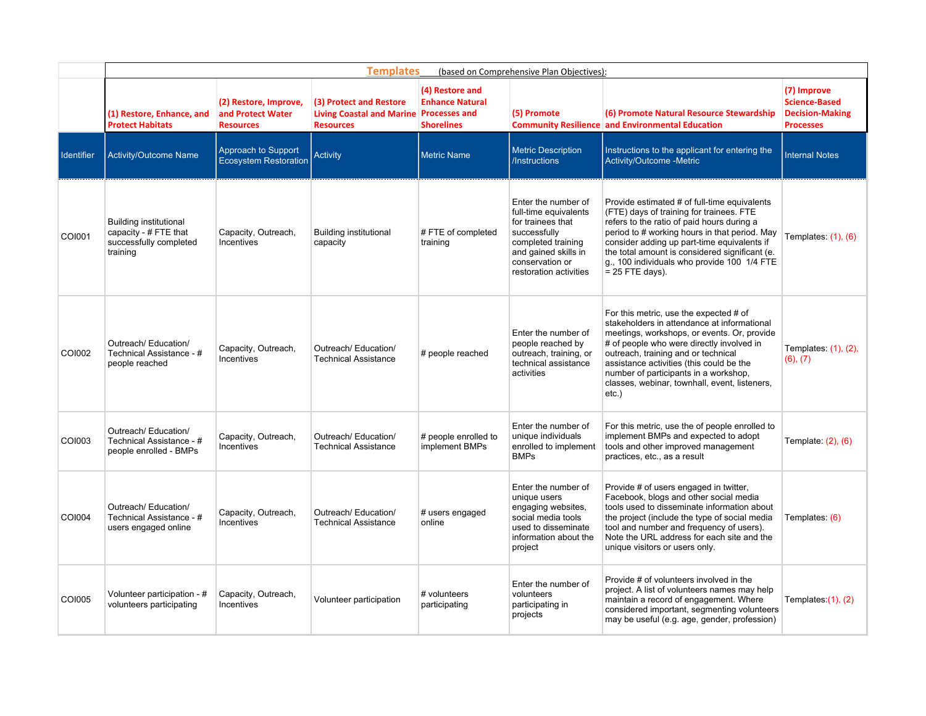|                   | <b>Templates</b><br>(based on Comprehensive Plan Objectives):                                |                                                                |                                                                                        |                                                                |                                                                                                                                                                              |                                                                                                                                                                                                                                                                                                                                                                            |                                                                                   |  |  |  |
|-------------------|----------------------------------------------------------------------------------------------|----------------------------------------------------------------|----------------------------------------------------------------------------------------|----------------------------------------------------------------|------------------------------------------------------------------------------------------------------------------------------------------------------------------------------|----------------------------------------------------------------------------------------------------------------------------------------------------------------------------------------------------------------------------------------------------------------------------------------------------------------------------------------------------------------------------|-----------------------------------------------------------------------------------|--|--|--|
|                   | (1) Restore, Enhance, and<br><b>Protect Habitats</b>                                         | (2) Restore, Improve,<br>and Protect Water<br><b>Resources</b> | (3) Protect and Restore<br>Living Coastal and Marine Processes and<br><b>Resources</b> | (4) Restore and<br><b>Enhance Natural</b><br><b>Shorelines</b> | (5) Promote                                                                                                                                                                  | (6) Promote Natural Resource Stewardship<br><b>Community Resilience and Environmental Education</b>                                                                                                                                                                                                                                                                        | (7) Improve<br><b>Science-Based</b><br><b>Decision-Making</b><br><b>Processes</b> |  |  |  |
| <b>Identifier</b> | Activity/Outcome Name                                                                        | Approach to Support<br><b>Ecosystem Restoration</b>            | <b>Activity</b>                                                                        | <b>Metric Name</b>                                             | <b>Metric Description</b><br>/Instructions                                                                                                                                   | Instructions to the applicant for entering the<br>Activity/Outcome -Metric                                                                                                                                                                                                                                                                                                 | <b>Internal Notes</b>                                                             |  |  |  |
| COI001            | <b>Building institutional</b><br>capacity - # FTE that<br>successfully completed<br>training | Capacity, Outreach,<br><b>Incentives</b>                       | <b>Building institutional</b><br>capacity                                              | #FTE of completed<br>training                                  | Enter the number of<br>full-time equivalents<br>for trainees that<br>successfully<br>completed training<br>and gained skills in<br>conservation or<br>restoration activities | Provide estimated # of full-time equivalents<br>(FTE) days of training for trainees. FTE<br>refers to the ratio of paid hours during a<br>period to # working hours in that period. May<br>consider adding up part-time equivalents if<br>the total amount is considered significant (e.<br>g., 100 individuals who provide 100 1/4 FTE<br>$= 25$ FTE days).               | Templates: $(1)$ , $(6)$                                                          |  |  |  |
| COI002            | Outreach/ Education/<br>Technical Assistance - #<br>people reached                           | Capacity, Outreach,<br>Incentives                              | Outreach/ Education/<br><b>Technical Assistance</b>                                    | # people reached                                               | Enter the number of<br>people reached by<br>outreach, training, or<br>technical assistance<br>activities                                                                     | For this metric, use the expected # of<br>stakeholders in attendance at informational<br>meetings, workshops, or events. Or, provide<br># of people who were directly involved in<br>outreach, training and or technical<br>assistance activities (this could be the<br>number of participants in a workshop.<br>classes, webinar, townhall, event, listeners,<br>$etc.$ ) | Templates: $(1)$ , $(2)$ ,<br>(6), (7)                                            |  |  |  |
| COI003            | Outreach/ Education/<br>Technical Assistance - #<br>people enrolled - BMPs                   | Capacity, Outreach,<br>Incentives                              | Outreach/ Education/<br><b>Technical Assistance</b>                                    | # people enrolled to<br>implement BMPs                         | Enter the number of<br>unique individuals<br>enrolled to implement<br><b>BMPs</b>                                                                                            | For this metric, use the of people enrolled to<br>implement BMPs and expected to adopt<br>tools and other improved management<br>practices, etc., as a result                                                                                                                                                                                                              | Template: (2), (6)                                                                |  |  |  |
| <b>COI004</b>     | Outreach/ Education/<br>Technical Assistance - #<br>users engaged online                     | Capacity, Outreach,<br>Incentives                              | Outreach/ Education/<br><b>Technical Assistance</b>                                    | # users engaged<br>online                                      | Enter the number of<br>unique users<br>engaging websites,<br>social media tools<br>used to disseminate<br>information about the<br>project                                   | Provide # of users engaged in twitter,<br>Facebook, blogs and other social media<br>tools used to disseminate information about<br>the project (include the type of social media<br>tool and number and frequency of users).<br>Note the URL address for each site and the<br>unique visitors or users only.                                                               | Templates: (6)                                                                    |  |  |  |
| COI005            | Volunteer participation - #<br>volunteers participating                                      | Capacity, Outreach,<br><b>Incentives</b>                       | Volunteer participation                                                                | # volunteers<br>participating                                  | Enter the number of<br>volunteers<br>participating in<br>projects                                                                                                            | Provide # of volunteers involved in the<br>project. A list of volunteers names may help<br>maintain a record of engagement. Where<br>considered important, segmenting volunteers<br>may be useful (e.g. age, gender, profession)                                                                                                                                           | Templates: $(1)$ , $(2)$                                                          |  |  |  |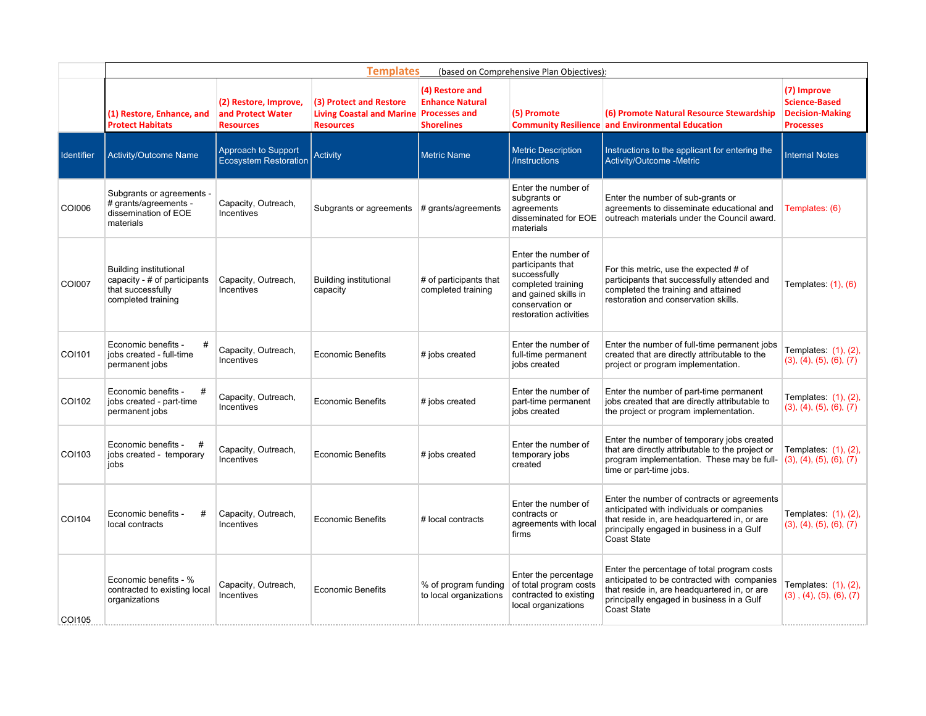|                   | <b>Templates</b><br>(based on Comprehensive Plan Objectives):                                            |                                                                |                                                                                        |                                                                |                                                                                                                                                     |                                                                                                                                                                                                             |                                                                                   |  |  |  |
|-------------------|----------------------------------------------------------------------------------------------------------|----------------------------------------------------------------|----------------------------------------------------------------------------------------|----------------------------------------------------------------|-----------------------------------------------------------------------------------------------------------------------------------------------------|-------------------------------------------------------------------------------------------------------------------------------------------------------------------------------------------------------------|-----------------------------------------------------------------------------------|--|--|--|
|                   | (1) Restore, Enhance, and<br><b>Protect Habitats</b>                                                     | (2) Restore, Improve,<br>and Protect Water<br><b>Resources</b> | (3) Protect and Restore<br>Living Coastal and Marine Processes and<br><b>Resources</b> | (4) Restore and<br><b>Enhance Natural</b><br><b>Shorelines</b> | (5) Promote                                                                                                                                         | (6) Promote Natural Resource Stewardship<br><b>Community Resilience and Environmental Education</b>                                                                                                         | (7) Improve<br><b>Science-Based</b><br><b>Decision-Making</b><br><b>Processes</b> |  |  |  |
| <b>Identifier</b> | Activity/Outcome Name                                                                                    | Approach to Support<br><b>Ecosystem Restoration</b>            | <b>Activity</b>                                                                        | <b>Metric Name</b>                                             | <b>Metric Description</b><br>/Instructions                                                                                                          | Instructions to the applicant for entering the<br>Activity/Outcome -Metric                                                                                                                                  | <b>Internal Notes</b>                                                             |  |  |  |
| COI006            | Subgrants or agreements -<br># grants/agreements -<br>dissemination of EOE<br>materials                  | Capacity, Outreach,<br>Incentives                              | Subgrants or agreements $#$ grants/agreements                                          |                                                                | Enter the number of<br>subgrants or<br>agreements<br>disseminated for EOE<br>materials                                                              | Enter the number of sub-grants or<br>agreements to disseminate educational and<br>outreach materials under the Council award.                                                                               | Templates: (6)                                                                    |  |  |  |
| <b>COI007</b>     | <b>Building institutional</b><br>capacity - # of participants<br>that successfully<br>completed training | Capacity, Outreach,<br>Incentives                              | <b>Building institutional</b><br>capacity                                              | # of participants that<br>completed training                   | Enter the number of<br>participants that<br>successfully<br>completed training<br>and gained skills in<br>conservation or<br>restoration activities | For this metric, use the expected # of<br>participants that successfully attended and<br>completed the training and attained<br>restoration and conservation skills.                                        | Templates: $(1)$ , $(6)$                                                          |  |  |  |
| COI101            | Economic benefits -<br>jobs created - full-time<br>permanent jobs                                        | Capacity, Outreach,<br>Incentives                              | <b>Economic Benefits</b>                                                               | # jobs created                                                 | Enter the number of<br>full-time permanent<br>jobs created                                                                                          | Enter the number of full-time permanent jobs<br>created that are directly attributable to the<br>project or program implementation.                                                                         | Templates: (1), (2),<br>(3), (4), (5), (6), (7)                                   |  |  |  |
| COI102            | Economic benefits -<br>#<br>jobs created - part-time<br>permanent jobs                                   | Capacity, Outreach,<br>Incentives                              | <b>Economic Benefits</b>                                                               | # jobs created                                                 | Enter the number of<br>part-time permanent<br>jobs created                                                                                          | Enter the number of part-time permanent<br>jobs created that are directly attributable to<br>the project or program implementation.                                                                         | Templates: (1), (2),<br>(3), (4), (5), (6), (7)                                   |  |  |  |
| COI103            | Economic benefits -<br>jobs created - temporary<br>jobs                                                  | Capacity, Outreach,<br>Incentives                              | <b>Economic Benefits</b>                                                               | # jobs created                                                 | Enter the number of<br>temporary jobs<br>created                                                                                                    | Enter the number of temporary jobs created<br>that are directly attributable to the project or<br>program implementation. These may be full-<br>time or part-time jobs.                                     | Templates: $(1)$ , $(2)$ ,<br>(3), (4), (5), (6), (7)                             |  |  |  |
| COI104            | Economic benefits -<br>#<br>local contracts                                                              | Capacity, Outreach,<br>Incentives                              | <b>Economic Benefits</b>                                                               | # local contracts                                              | Enter the number of<br>contracts or<br>agreements with local<br>firms                                                                               | Enter the number of contracts or agreements<br>anticipated with individuals or companies<br>that reside in, are headquartered in, or are<br>principally engaged in business in a Gulf<br><b>Coast State</b> | Templates: (1), (2),<br>(3), (4), (5), (6), (7)                                   |  |  |  |
| COI105            | Economic benefits - %<br>contracted to existing local<br>organizations                                   | Capacity, Outreach,<br>Incentives                              | <b>Economic Benefits</b>                                                               | % of program funding<br>to local organizations                 | Enter the percentage<br>of total program costs<br>contracted to existing<br>local organizations                                                     | Enter the percentage of total program costs<br>anticipated to be contracted with companies<br>that reside in, are headquartered in, or are<br>principally engaged in business in a Gulf<br>Coast State      | Templates: (1), (2),<br>$(3)$ , $(4)$ , $(5)$ , $(6)$ , $(7)$                     |  |  |  |